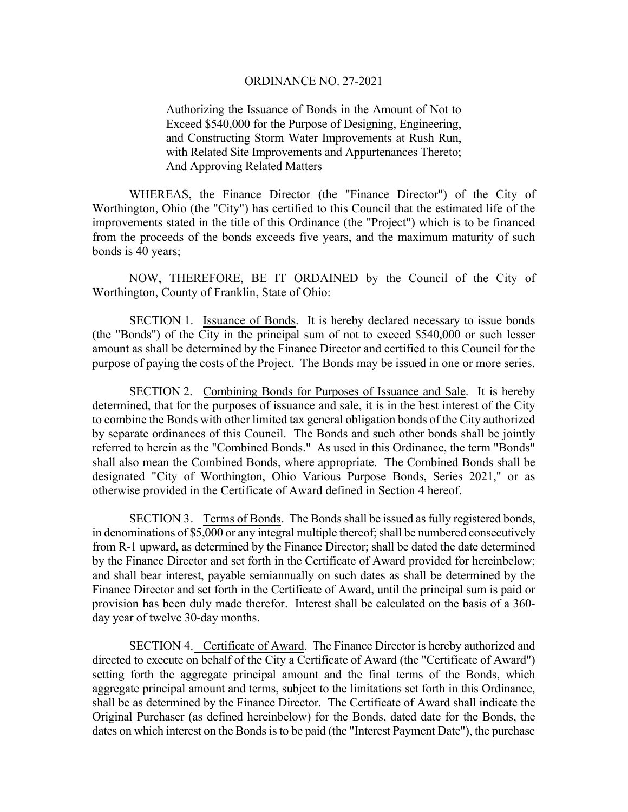Authorizing the Issuance of Bonds in the Amount of Not to Exceed \$540,000 for the Purpose of Designing, Engineering, and Constructing Storm Water Improvements at Rush Run, with Related Site Improvements and Appurtenances Thereto; And Approving Related Matters

WHEREAS, the Finance Director (the "Finance Director") of the City of Worthington, Ohio (the "City") has certified to this Council that the estimated life of the improvements stated in the title of this Ordinance (the "Project") which is to be financed from the proceeds of the bonds exceeds five years, and the maximum maturity of such bonds is 40 years;

NOW, THEREFORE, BE IT ORDAINED by the Council of the City of Worthington, County of Franklin, State of Ohio:

SECTION 1. Issuance of Bonds. It is hereby declared necessary to issue bonds (the "Bonds") of the City in the principal sum of not to exceed \$540,000 or such lesser amount as shall be determined by the Finance Director and certified to this Council for the purpose of paying the costs of the Project. The Bonds may be issued in one or more series.

SECTION 2. Combining Bonds for Purposes of Issuance and Sale. It is hereby determined, that for the purposes of issuance and sale, it is in the best interest of the City to combine the Bonds with other limited tax general obligation bonds of the City authorized by separate ordinances of this Council. The Bonds and such other bonds shall be jointly referred to herein as the "Combined Bonds." As used in this Ordinance, the term "Bonds" shall also mean the Combined Bonds, where appropriate. The Combined Bonds shall be designated "City of Worthington, Ohio Various Purpose Bonds, Series 2021," or as otherwise provided in the Certificate of Award defined in Section 4 hereof.

SECTION 3. Terms of Bonds. The Bonds shall be issued as fully registered bonds, in denominations of \$5,000 or any integral multiple thereof; shall be numbered consecutively from R-1 upward, as determined by the Finance Director; shall be dated the date determined by the Finance Director and set forth in the Certificate of Award provided for hereinbelow; and shall bear interest, payable semiannually on such dates as shall be determined by the Finance Director and set forth in the Certificate of Award, until the principal sum is paid or provision has been duly made therefor. Interest shall be calculated on the basis of a 360 day year of twelve 30-day months.

SECTION 4. Certificate of Award. The Finance Director is hereby authorized and directed to execute on behalf of the City a Certificate of Award (the "Certificate of Award") setting forth the aggregate principal amount and the final terms of the Bonds, which aggregate principal amount and terms, subject to the limitations set forth in this Ordinance, shall be as determined by the Finance Director. The Certificate of Award shall indicate the Original Purchaser (as defined hereinbelow) for the Bonds, dated date for the Bonds, the dates on which interest on the Bonds is to be paid (the "Interest Payment Date"), the purchase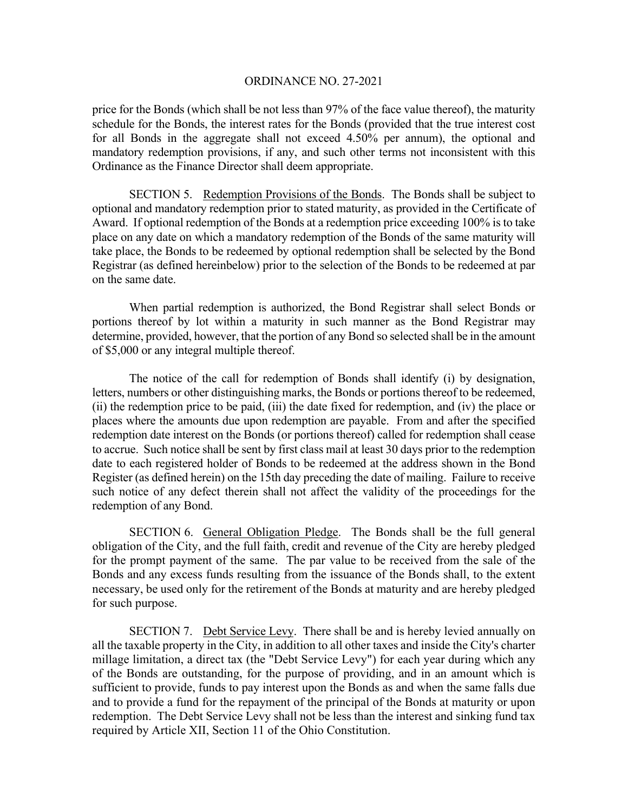price for the Bonds (which shall be not less than 97% of the face value thereof), the maturity schedule for the Bonds, the interest rates for the Bonds (provided that the true interest cost for all Bonds in the aggregate shall not exceed 4.50% per annum), the optional and mandatory redemption provisions, if any, and such other terms not inconsistent with this Ordinance as the Finance Director shall deem appropriate.

 SECTION 5. Redemption Provisions of the Bonds. The Bonds shall be subject to optional and mandatory redemption prior to stated maturity, as provided in the Certificate of Award. If optional redemption of the Bonds at a redemption price exceeding 100% is to take place on any date on which a mandatory redemption of the Bonds of the same maturity will take place, the Bonds to be redeemed by optional redemption shall be selected by the Bond Registrar (as defined hereinbelow) prior to the selection of the Bonds to be redeemed at par on the same date.

 When partial redemption is authorized, the Bond Registrar shall select Bonds or portions thereof by lot within a maturity in such manner as the Bond Registrar may determine, provided, however, that the portion of any Bond so selected shall be in the amount of \$5,000 or any integral multiple thereof.

 The notice of the call for redemption of Bonds shall identify (i) by designation, letters, numbers or other distinguishing marks, the Bonds or portions thereof to be redeemed, (ii) the redemption price to be paid, (iii) the date fixed for redemption, and (iv) the place or places where the amounts due upon redemption are payable. From and after the specified redemption date interest on the Bonds (or portions thereof) called for redemption shall cease to accrue. Such notice shall be sent by first class mail at least 30 days prior to the redemption date to each registered holder of Bonds to be redeemed at the address shown in the Bond Register (as defined herein) on the 15th day preceding the date of mailing. Failure to receive such notice of any defect therein shall not affect the validity of the proceedings for the redemption of any Bond.

 SECTION 6. General Obligation Pledge. The Bonds shall be the full general obligation of the City, and the full faith, credit and revenue of the City are hereby pledged for the prompt payment of the same. The par value to be received from the sale of the Bonds and any excess funds resulting from the issuance of the Bonds shall, to the extent necessary, be used only for the retirement of the Bonds at maturity and are hereby pledged for such purpose.

SECTION 7. Debt Service Levy. There shall be and is hereby levied annually on all the taxable property in the City, in addition to all other taxes and inside the City's charter millage limitation, a direct tax (the "Debt Service Levy") for each year during which any of the Bonds are outstanding, for the purpose of providing, and in an amount which is sufficient to provide, funds to pay interest upon the Bonds as and when the same falls due and to provide a fund for the repayment of the principal of the Bonds at maturity or upon redemption. The Debt Service Levy shall not be less than the interest and sinking fund tax required by Article XII, Section 11 of the Ohio Constitution.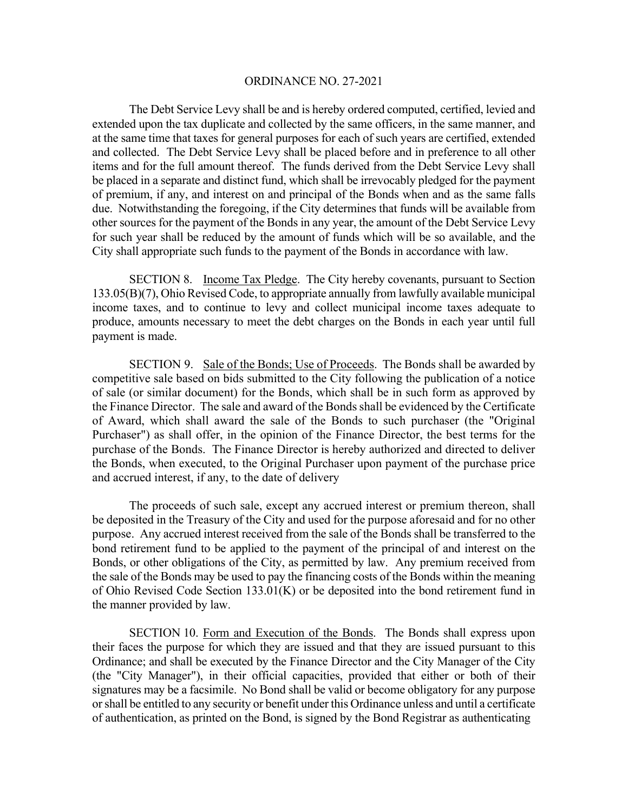The Debt Service Levy shall be and is hereby ordered computed, certified, levied and extended upon the tax duplicate and collected by the same officers, in the same manner, and at the same time that taxes for general purposes for each of such years are certified, extended and collected. The Debt Service Levy shall be placed before and in preference to all other items and for the full amount thereof. The funds derived from the Debt Service Levy shall be placed in a separate and distinct fund, which shall be irrevocably pledged for the payment of premium, if any, and interest on and principal of the Bonds when and as the same falls due. Notwithstanding the foregoing, if the City determines that funds will be available from other sources for the payment of the Bonds in any year, the amount of the Debt Service Levy for such year shall be reduced by the amount of funds which will be so available, and the City shall appropriate such funds to the payment of the Bonds in accordance with law.

 SECTION 8. Income Tax Pledge. The City hereby covenants, pursuant to Section 133.05(B)(7), Ohio Revised Code, to appropriate annually from lawfully available municipal income taxes, and to continue to levy and collect municipal income taxes adequate to produce, amounts necessary to meet the debt charges on the Bonds in each year until full payment is made.

 SECTION 9. Sale of the Bonds; Use of Proceeds. The Bonds shall be awarded by competitive sale based on bids submitted to the City following the publication of a notice of sale (or similar document) for the Bonds, which shall be in such form as approved by the Finance Director. The sale and award of the Bonds shall be evidenced by the Certificate of Award, which shall award the sale of the Bonds to such purchaser (the "Original Purchaser") as shall offer, in the opinion of the Finance Director, the best terms for the purchase of the Bonds. The Finance Director is hereby authorized and directed to deliver the Bonds, when executed, to the Original Purchaser upon payment of the purchase price and accrued interest, if any, to the date of delivery

The proceeds of such sale, except any accrued interest or premium thereon, shall be deposited in the Treasury of the City and used for the purpose aforesaid and for no other purpose. Any accrued interest received from the sale of the Bonds shall be transferred to the bond retirement fund to be applied to the payment of the principal of and interest on the Bonds, or other obligations of the City, as permitted by law. Any premium received from the sale of the Bonds may be used to pay the financing costs of the Bonds within the meaning of Ohio Revised Code Section 133.01(K) or be deposited into the bond retirement fund in the manner provided by law.

 SECTION 10. Form and Execution of the Bonds. The Bonds shall express upon their faces the purpose for which they are issued and that they are issued pursuant to this Ordinance; and shall be executed by the Finance Director and the City Manager of the City (the "City Manager"), in their official capacities, provided that either or both of their signatures may be a facsimile. No Bond shall be valid or become obligatory for any purpose or shall be entitled to any security or benefit under this Ordinance unless and until a certificate of authentication, as printed on the Bond, is signed by the Bond Registrar as authenticating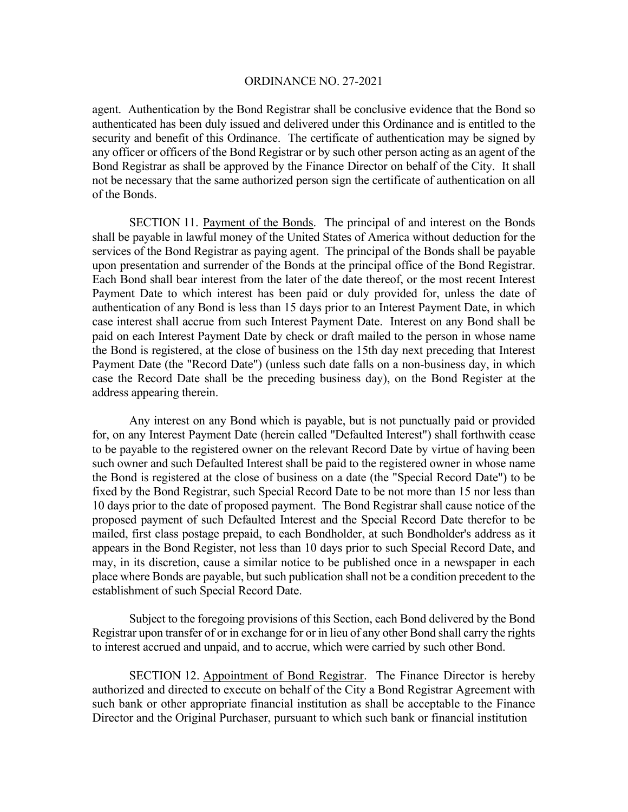agent. Authentication by the Bond Registrar shall be conclusive evidence that the Bond so authenticated has been duly issued and delivered under this Ordinance and is entitled to the security and benefit of this Ordinance. The certificate of authentication may be signed by any officer or officers of the Bond Registrar or by such other person acting as an agent of the Bond Registrar as shall be approved by the Finance Director on behalf of the City. It shall not be necessary that the same authorized person sign the certificate of authentication on all of the Bonds.

SECTION 11. Payment of the Bonds. The principal of and interest on the Bonds shall be payable in lawful money of the United States of America without deduction for the services of the Bond Registrar as paying agent. The principal of the Bonds shall be payable upon presentation and surrender of the Bonds at the principal office of the Bond Registrar. Each Bond shall bear interest from the later of the date thereof, or the most recent Interest Payment Date to which interest has been paid or duly provided for, unless the date of authentication of any Bond is less than 15 days prior to an Interest Payment Date, in which case interest shall accrue from such Interest Payment Date. Interest on any Bond shall be paid on each Interest Payment Date by check or draft mailed to the person in whose name the Bond is registered, at the close of business on the 15th day next preceding that Interest Payment Date (the "Record Date") (unless such date falls on a non-business day, in which case the Record Date shall be the preceding business day), on the Bond Register at the address appearing therein.

 Any interest on any Bond which is payable, but is not punctually paid or provided for, on any Interest Payment Date (herein called "Defaulted Interest") shall forthwith cease to be payable to the registered owner on the relevant Record Date by virtue of having been such owner and such Defaulted Interest shall be paid to the registered owner in whose name the Bond is registered at the close of business on a date (the "Special Record Date") to be fixed by the Bond Registrar, such Special Record Date to be not more than 15 nor less than 10 days prior to the date of proposed payment. The Bond Registrar shall cause notice of the proposed payment of such Defaulted Interest and the Special Record Date therefor to be mailed, first class postage prepaid, to each Bondholder, at such Bondholder's address as it appears in the Bond Register, not less than 10 days prior to such Special Record Date, and may, in its discretion, cause a similar notice to be published once in a newspaper in each place where Bonds are payable, but such publication shall not be a condition precedent to the establishment of such Special Record Date.

 Subject to the foregoing provisions of this Section, each Bond delivered by the Bond Registrar upon transfer of or in exchange for or in lieu of any other Bond shall carry the rights to interest accrued and unpaid, and to accrue, which were carried by such other Bond.

SECTION 12. Appointment of Bond Registrar. The Finance Director is hereby authorized and directed to execute on behalf of the City a Bond Registrar Agreement with such bank or other appropriate financial institution as shall be acceptable to the Finance Director and the Original Purchaser, pursuant to which such bank or financial institution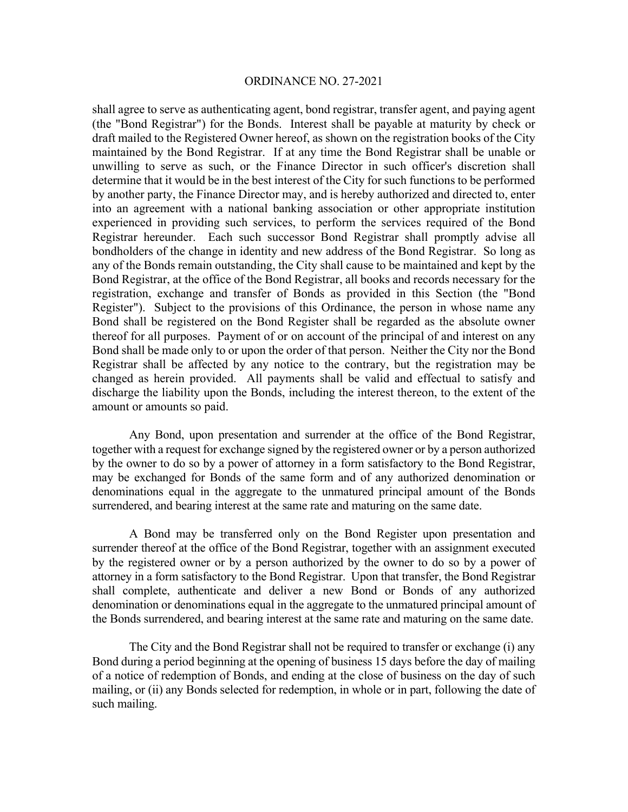shall agree to serve as authenticating agent, bond registrar, transfer agent, and paying agent (the "Bond Registrar") for the Bonds. Interest shall be payable at maturity by check or draft mailed to the Registered Owner hereof, as shown on the registration books of the City maintained by the Bond Registrar. If at any time the Bond Registrar shall be unable or unwilling to serve as such, or the Finance Director in such officer's discretion shall determine that it would be in the best interest of the City for such functions to be performed by another party, the Finance Director may, and is hereby authorized and directed to, enter into an agreement with a national banking association or other appropriate institution experienced in providing such services, to perform the services required of the Bond Registrar hereunder. Each such successor Bond Registrar shall promptly advise all bondholders of the change in identity and new address of the Bond Registrar. So long as any of the Bonds remain outstanding, the City shall cause to be maintained and kept by the Bond Registrar, at the office of the Bond Registrar, all books and records necessary for the registration, exchange and transfer of Bonds as provided in this Section (the "Bond Register"). Subject to the provisions of this Ordinance, the person in whose name any Bond shall be registered on the Bond Register shall be regarded as the absolute owner thereof for all purposes. Payment of or on account of the principal of and interest on any Bond shall be made only to or upon the order of that person. Neither the City nor the Bond Registrar shall be affected by any notice to the contrary, but the registration may be changed as herein provided. All payments shall be valid and effectual to satisfy and discharge the liability upon the Bonds, including the interest thereon, to the extent of the amount or amounts so paid.

 Any Bond, upon presentation and surrender at the office of the Bond Registrar, together with a request for exchange signed by the registered owner or by a person authorized by the owner to do so by a power of attorney in a form satisfactory to the Bond Registrar, may be exchanged for Bonds of the same form and of any authorized denomination or denominations equal in the aggregate to the unmatured principal amount of the Bonds surrendered, and bearing interest at the same rate and maturing on the same date.

 A Bond may be transferred only on the Bond Register upon presentation and surrender thereof at the office of the Bond Registrar, together with an assignment executed by the registered owner or by a person authorized by the owner to do so by a power of attorney in a form satisfactory to the Bond Registrar. Upon that transfer, the Bond Registrar shall complete, authenticate and deliver a new Bond or Bonds of any authorized denomination or denominations equal in the aggregate to the unmatured principal amount of the Bonds surrendered, and bearing interest at the same rate and maturing on the same date.

 The City and the Bond Registrar shall not be required to transfer or exchange (i) any Bond during a period beginning at the opening of business 15 days before the day of mailing of a notice of redemption of Bonds, and ending at the close of business on the day of such mailing, or (ii) any Bonds selected for redemption, in whole or in part, following the date of such mailing.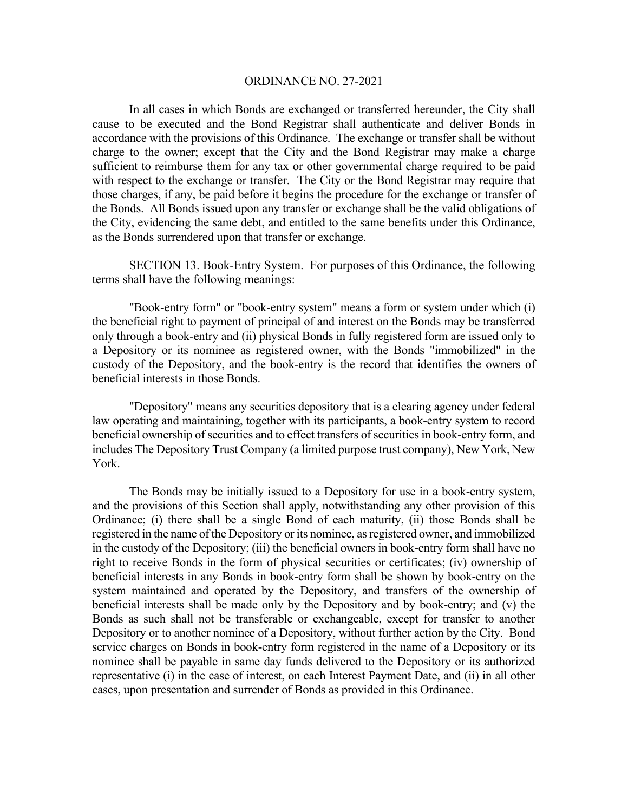In all cases in which Bonds are exchanged or transferred hereunder, the City shall cause to be executed and the Bond Registrar shall authenticate and deliver Bonds in accordance with the provisions of this Ordinance. The exchange or transfer shall be without charge to the owner; except that the City and the Bond Registrar may make a charge sufficient to reimburse them for any tax or other governmental charge required to be paid with respect to the exchange or transfer. The City or the Bond Registrar may require that those charges, if any, be paid before it begins the procedure for the exchange or transfer of the Bonds. All Bonds issued upon any transfer or exchange shall be the valid obligations of the City, evidencing the same debt, and entitled to the same benefits under this Ordinance, as the Bonds surrendered upon that transfer or exchange.

 SECTION 13. Book-Entry System. For purposes of this Ordinance, the following terms shall have the following meanings:

 "Book-entry form" or "book-entry system" means a form or system under which (i) the beneficial right to payment of principal of and interest on the Bonds may be transferred only through a book-entry and (ii) physical Bonds in fully registered form are issued only to a Depository or its nominee as registered owner, with the Bonds "immobilized" in the custody of the Depository, and the book-entry is the record that identifies the owners of beneficial interests in those Bonds.

 "Depository" means any securities depository that is a clearing agency under federal law operating and maintaining, together with its participants, a book-entry system to record beneficial ownership of securities and to effect transfers of securities in book-entry form, and includes The Depository Trust Company (a limited purpose trust company), New York, New York.

 The Bonds may be initially issued to a Depository for use in a book-entry system, and the provisions of this Section shall apply, notwithstanding any other provision of this Ordinance; (i) there shall be a single Bond of each maturity, (ii) those Bonds shall be registered in the name of the Depository or its nominee, as registered owner, and immobilized in the custody of the Depository; (iii) the beneficial owners in book-entry form shall have no right to receive Bonds in the form of physical securities or certificates; (iv) ownership of beneficial interests in any Bonds in book-entry form shall be shown by book-entry on the system maintained and operated by the Depository, and transfers of the ownership of beneficial interests shall be made only by the Depository and by book-entry; and (v) the Bonds as such shall not be transferable or exchangeable, except for transfer to another Depository or to another nominee of a Depository, without further action by the City. Bond service charges on Bonds in book-entry form registered in the name of a Depository or its nominee shall be payable in same day funds delivered to the Depository or its authorized representative (i) in the case of interest, on each Interest Payment Date, and (ii) in all other cases, upon presentation and surrender of Bonds as provided in this Ordinance.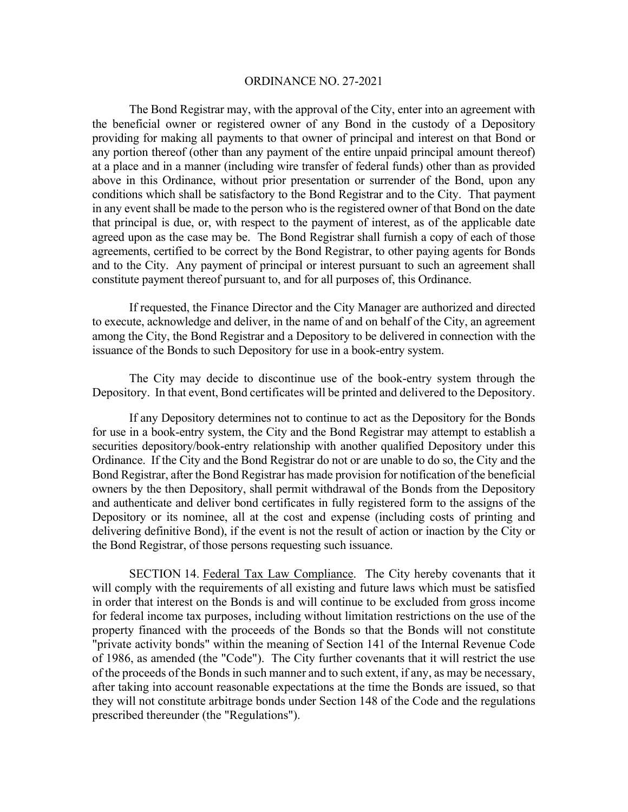The Bond Registrar may, with the approval of the City, enter into an agreement with the beneficial owner or registered owner of any Bond in the custody of a Depository providing for making all payments to that owner of principal and interest on that Bond or any portion thereof (other than any payment of the entire unpaid principal amount thereof) at a place and in a manner (including wire transfer of federal funds) other than as provided above in this Ordinance, without prior presentation or surrender of the Bond, upon any conditions which shall be satisfactory to the Bond Registrar and to the City. That payment in any event shall be made to the person who is the registered owner of that Bond on the date that principal is due, or, with respect to the payment of interest, as of the applicable date agreed upon as the case may be. The Bond Registrar shall furnish a copy of each of those agreements, certified to be correct by the Bond Registrar, to other paying agents for Bonds and to the City. Any payment of principal or interest pursuant to such an agreement shall constitute payment thereof pursuant to, and for all purposes of, this Ordinance.

 If requested, the Finance Director and the City Manager are authorized and directed to execute, acknowledge and deliver, in the name of and on behalf of the City, an agreement among the City, the Bond Registrar and a Depository to be delivered in connection with the issuance of the Bonds to such Depository for use in a book-entry system.

The City may decide to discontinue use of the book-entry system through the Depository. In that event, Bond certificates will be printed and delivered to the Depository.

 If any Depository determines not to continue to act as the Depository for the Bonds for use in a book-entry system, the City and the Bond Registrar may attempt to establish a securities depository/book-entry relationship with another qualified Depository under this Ordinance. If the City and the Bond Registrar do not or are unable to do so, the City and the Bond Registrar, after the Bond Registrar has made provision for notification of the beneficial owners by the then Depository, shall permit withdrawal of the Bonds from the Depository and authenticate and deliver bond certificates in fully registered form to the assigns of the Depository or its nominee, all at the cost and expense (including costs of printing and delivering definitive Bond), if the event is not the result of action or inaction by the City or the Bond Registrar, of those persons requesting such issuance.

 SECTION 14. Federal Tax Law Compliance. The City hereby covenants that it will comply with the requirements of all existing and future laws which must be satisfied in order that interest on the Bonds is and will continue to be excluded from gross income for federal income tax purposes, including without limitation restrictions on the use of the property financed with the proceeds of the Bonds so that the Bonds will not constitute "private activity bonds" within the meaning of Section 141 of the Internal Revenue Code of 1986, as amended (the "Code"). The City further covenants that it will restrict the use of the proceeds of the Bonds in such manner and to such extent, if any, as may be necessary, after taking into account reasonable expectations at the time the Bonds are issued, so that they will not constitute arbitrage bonds under Section 148 of the Code and the regulations prescribed thereunder (the "Regulations").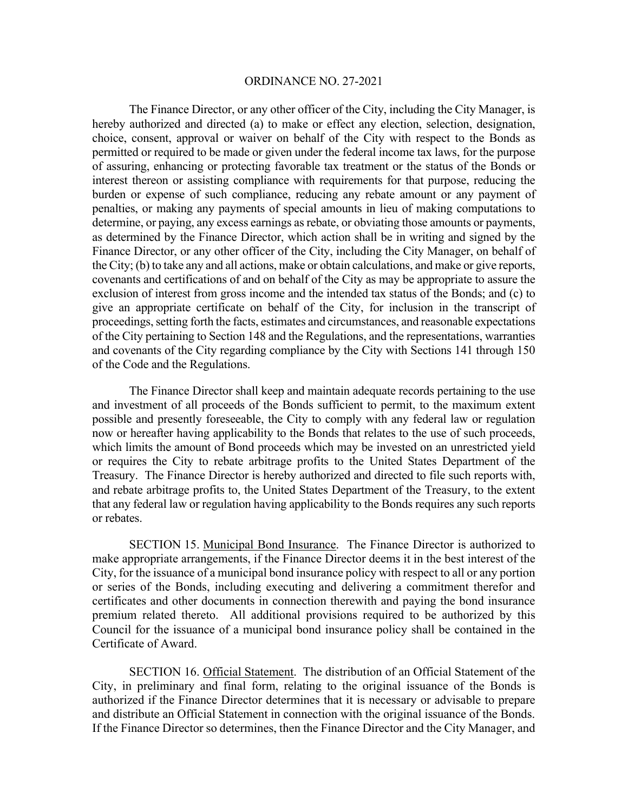The Finance Director, or any other officer of the City, including the City Manager, is hereby authorized and directed (a) to make or effect any election, selection, designation, choice, consent, approval or waiver on behalf of the City with respect to the Bonds as permitted or required to be made or given under the federal income tax laws, for the purpose of assuring, enhancing or protecting favorable tax treatment or the status of the Bonds or interest thereon or assisting compliance with requirements for that purpose, reducing the burden or expense of such compliance, reducing any rebate amount or any payment of penalties, or making any payments of special amounts in lieu of making computations to determine, or paying, any excess earnings as rebate, or obviating those amounts or payments, as determined by the Finance Director, which action shall be in writing and signed by the Finance Director, or any other officer of the City, including the City Manager, on behalf of the City; (b) to take any and all actions, make or obtain calculations, and make or give reports, covenants and certifications of and on behalf of the City as may be appropriate to assure the exclusion of interest from gross income and the intended tax status of the Bonds; and (c) to give an appropriate certificate on behalf of the City, for inclusion in the transcript of proceedings, setting forth the facts, estimates and circumstances, and reasonable expectations of the City pertaining to Section 148 and the Regulations, and the representations, warranties and covenants of the City regarding compliance by the City with Sections 141 through 150 of the Code and the Regulations.

The Finance Director shall keep and maintain adequate records pertaining to the use and investment of all proceeds of the Bonds sufficient to permit, to the maximum extent possible and presently foreseeable, the City to comply with any federal law or regulation now or hereafter having applicability to the Bonds that relates to the use of such proceeds, which limits the amount of Bond proceeds which may be invested on an unrestricted yield or requires the City to rebate arbitrage profits to the United States Department of the Treasury. The Finance Director is hereby authorized and directed to file such reports with, and rebate arbitrage profits to, the United States Department of the Treasury, to the extent that any federal law or regulation having applicability to the Bonds requires any such reports or rebates.

 SECTION 15. Municipal Bond Insurance. The Finance Director is authorized to make appropriate arrangements, if the Finance Director deems it in the best interest of the City, for the issuance of a municipal bond insurance policy with respect to all or any portion or series of the Bonds, including executing and delivering a commitment therefor and certificates and other documents in connection therewith and paying the bond insurance premium related thereto. All additional provisions required to be authorized by this Council for the issuance of a municipal bond insurance policy shall be contained in the Certificate of Award.

 SECTION 16. Official Statement. The distribution of an Official Statement of the City, in preliminary and final form, relating to the original issuance of the Bonds is authorized if the Finance Director determines that it is necessary or advisable to prepare and distribute an Official Statement in connection with the original issuance of the Bonds. If the Finance Director so determines, then the Finance Director and the City Manager, and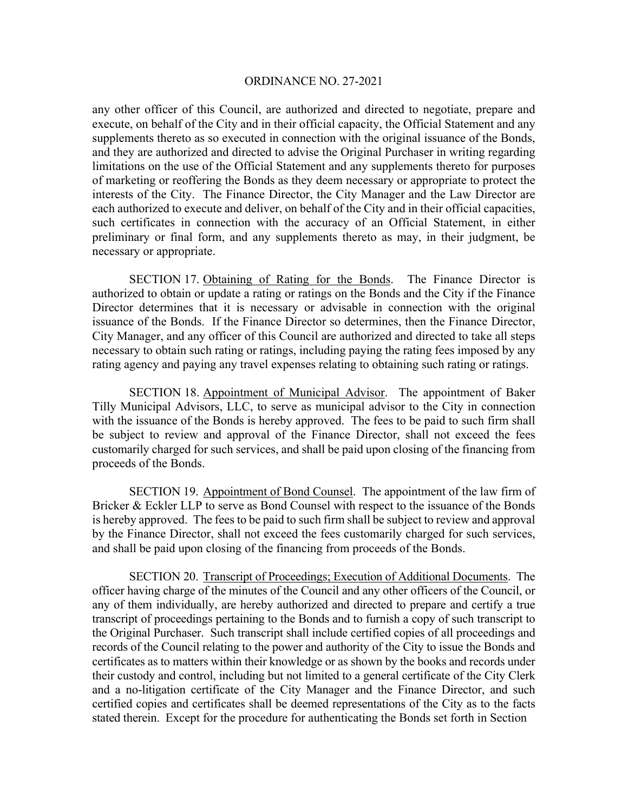any other officer of this Council, are authorized and directed to negotiate, prepare and execute, on behalf of the City and in their official capacity, the Official Statement and any supplements thereto as so executed in connection with the original issuance of the Bonds, and they are authorized and directed to advise the Original Purchaser in writing regarding limitations on the use of the Official Statement and any supplements thereto for purposes of marketing or reoffering the Bonds as they deem necessary or appropriate to protect the interests of the City. The Finance Director, the City Manager and the Law Director are each authorized to execute and deliver, on behalf of the City and in their official capacities, such certificates in connection with the accuracy of an Official Statement, in either preliminary or final form, and any supplements thereto as may, in their judgment, be necessary or appropriate.

SECTION 17. Obtaining of Rating for the Bonds. The Finance Director is authorized to obtain or update a rating or ratings on the Bonds and the City if the Finance Director determines that it is necessary or advisable in connection with the original issuance of the Bonds. If the Finance Director so determines, then the Finance Director, City Manager, and any officer of this Council are authorized and directed to take all steps necessary to obtain such rating or ratings, including paying the rating fees imposed by any rating agency and paying any travel expenses relating to obtaining such rating or ratings.

 SECTION 18. Appointment of Municipal Advisor. The appointment of Baker Tilly Municipal Advisors, LLC, to serve as municipal advisor to the City in connection with the issuance of the Bonds is hereby approved. The fees to be paid to such firm shall be subject to review and approval of the Finance Director, shall not exceed the fees customarily charged for such services, and shall be paid upon closing of the financing from proceeds of the Bonds.

 SECTION 19. Appointment of Bond Counsel. The appointment of the law firm of Bricker & Eckler LLP to serve as Bond Counsel with respect to the issuance of the Bonds is hereby approved. The fees to be paid to such firm shall be subject to review and approval by the Finance Director, shall not exceed the fees customarily charged for such services, and shall be paid upon closing of the financing from proceeds of the Bonds.

 SECTION 20. Transcript of Proceedings; Execution of Additional Documents. The officer having charge of the minutes of the Council and any other officers of the Council, or any of them individually, are hereby authorized and directed to prepare and certify a true transcript of proceedings pertaining to the Bonds and to furnish a copy of such transcript to the Original Purchaser. Such transcript shall include certified copies of all proceedings and records of the Council relating to the power and authority of the City to issue the Bonds and certificates as to matters within their knowledge or as shown by the books and records under their custody and control, including but not limited to a general certificate of the City Clerk and a no-litigation certificate of the City Manager and the Finance Director, and such certified copies and certificates shall be deemed representations of the City as to the facts stated therein. Except for the procedure for authenticating the Bonds set forth in Section